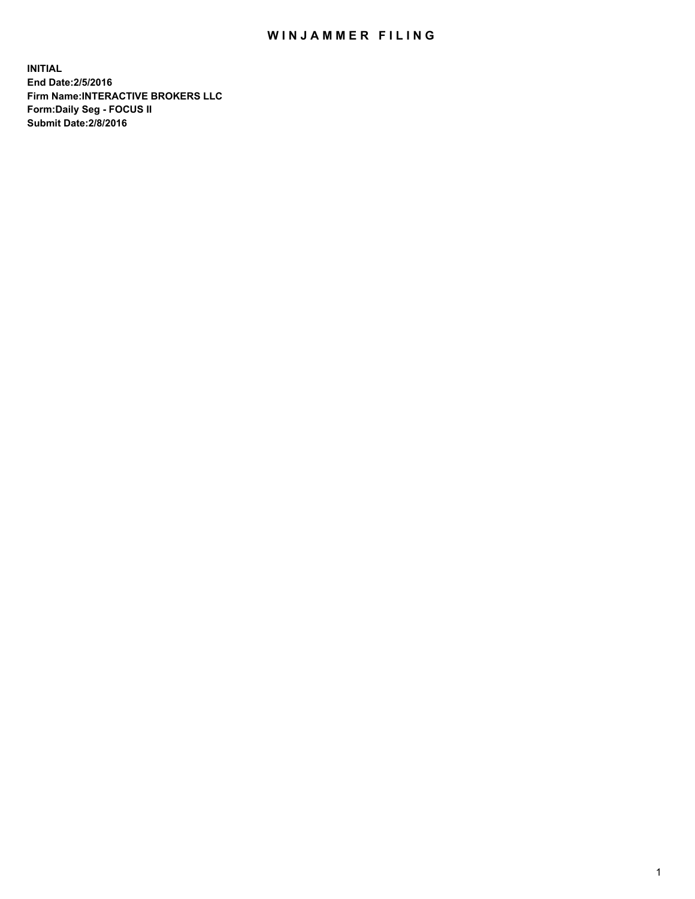## WIN JAMMER FILING

**INITIAL End Date:2/5/2016 Firm Name:INTERACTIVE BROKERS LLC Form:Daily Seg - FOCUS II Submit Date:2/8/2016**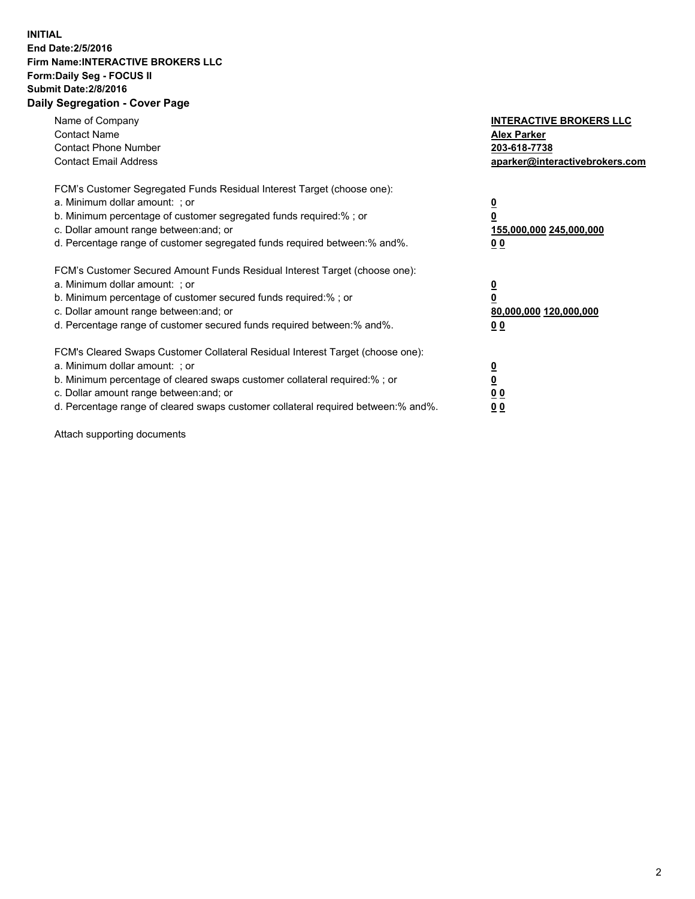## **INITIAL End Date:2/5/2016 Firm Name:INTERACTIVE BROKERS LLC Form:Daily Seg - FOCUS II Submit Date:2/8/2016 Daily Segregation - Cover Page**

| Name of Company<br><b>Contact Name</b><br><b>Contact Phone Number</b><br><b>Contact Email Address</b>                                                                                                                                                                                                                          | <b>INTERACTIVE BROKERS LLC</b><br><b>Alex Parker</b><br>203-618-7738<br>aparker@interactivebrokers.com |
|--------------------------------------------------------------------------------------------------------------------------------------------------------------------------------------------------------------------------------------------------------------------------------------------------------------------------------|--------------------------------------------------------------------------------------------------------|
| FCM's Customer Segregated Funds Residual Interest Target (choose one):<br>a. Minimum dollar amount: ; or<br>b. Minimum percentage of customer segregated funds required:%; or<br>c. Dollar amount range between: and; or<br>d. Percentage range of customer segregated funds required between:% and%.                          | <u>0</u><br><u>155,000,000 245,000,000</u><br><u>0 0</u>                                               |
| FCM's Customer Secured Amount Funds Residual Interest Target (choose one):<br>a. Minimum dollar amount: ; or<br>b. Minimum percentage of customer secured funds required:%; or<br>c. Dollar amount range between: and; or<br>d. Percentage range of customer secured funds required between:% and%.                            | <u>0</u><br>80,000,000 120,000,000<br>0 <sub>0</sub>                                                   |
| FCM's Cleared Swaps Customer Collateral Residual Interest Target (choose one):<br>a. Minimum dollar amount: ; or<br>b. Minimum percentage of cleared swaps customer collateral required:% ; or<br>c. Dollar amount range between: and; or<br>d. Percentage range of cleared swaps customer collateral required between:% and%. | <u>0</u><br>0 <sub>0</sub><br><u>00</u>                                                                |

Attach supporting documents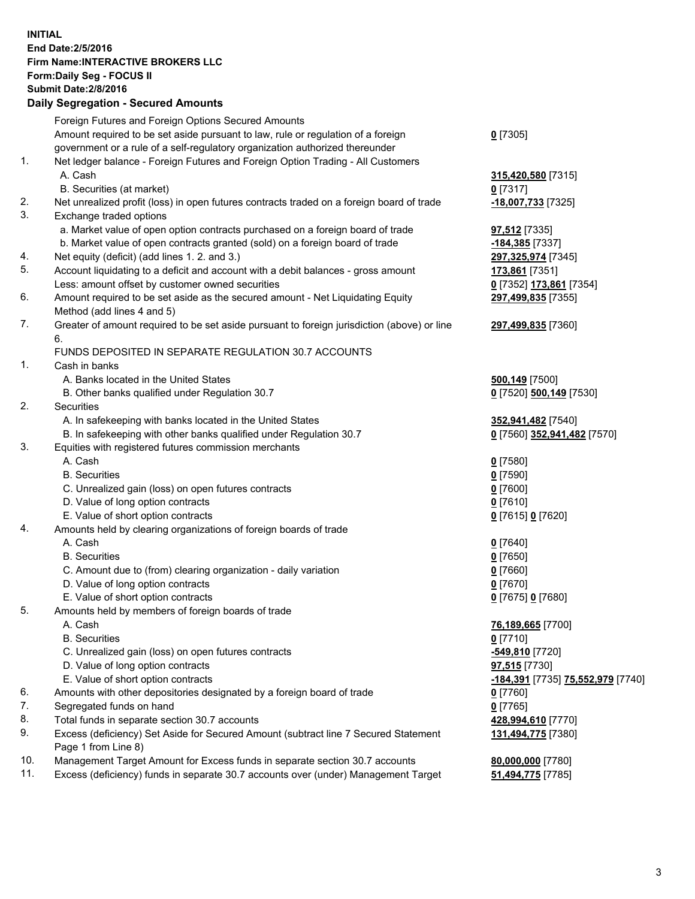## **INITIAL End Date:2/5/2016 Firm Name:INTERACTIVE BROKERS LLC Form:Daily Seg - FOCUS II Submit Date:2/8/2016 Daily Segregation - Secured Amounts**

|     | Foreign Futures and Foreign Options Secured Amounts                                         |                                                       |
|-----|---------------------------------------------------------------------------------------------|-------------------------------------------------------|
|     | Amount required to be set aside pursuant to law, rule or regulation of a foreign            | $0$ [7305]                                            |
|     | government or a rule of a self-regulatory organization authorized thereunder                |                                                       |
| 1.  | Net ledger balance - Foreign Futures and Foreign Option Trading - All Customers             |                                                       |
|     | A. Cash                                                                                     | 315,420,580 [7315]                                    |
|     | B. Securities (at market)                                                                   | $0$ [7317]                                            |
| 2.  | Net unrealized profit (loss) in open futures contracts traded on a foreign board of trade   | <u>-18,007,733</u> [7325]                             |
| 3.  | Exchange traded options                                                                     |                                                       |
|     | a. Market value of open option contracts purchased on a foreign board of trade              |                                                       |
|     |                                                                                             | 97,512 [7335]                                         |
|     | b. Market value of open contracts granted (sold) on a foreign board of trade                | -184,385 [7337]                                       |
| 4.  | Net equity (deficit) (add lines 1.2. and 3.)                                                | 297,325,974 [7345]                                    |
| 5.  | Account liquidating to a deficit and account with a debit balances - gross amount           | 173,861 [7351]                                        |
|     | Less: amount offset by customer owned securities                                            | 0 [7352] 173,861 [7354]                               |
| 6.  | Amount required to be set aside as the secured amount - Net Liquidating Equity              | 297,499,835 [7355]                                    |
|     | Method (add lines 4 and 5)                                                                  |                                                       |
| 7.  | Greater of amount required to be set aside pursuant to foreign jurisdiction (above) or line | 297,499,835 [7360]                                    |
|     | 6.                                                                                          |                                                       |
|     | FUNDS DEPOSITED IN SEPARATE REGULATION 30.7 ACCOUNTS                                        |                                                       |
| 1.  | Cash in banks                                                                               |                                                       |
|     | A. Banks located in the United States                                                       | 500,149 [7500]                                        |
|     | B. Other banks qualified under Regulation 30.7                                              | 0 [7520] 500,149 [7530]                               |
| 2.  | Securities                                                                                  |                                                       |
|     | A. In safekeeping with banks located in the United States                                   | 352,941,482 [7540]                                    |
|     | B. In safekeeping with other banks qualified under Regulation 30.7                          | 0 [7560] 352,941,482 [7570]                           |
| 3.  | Equities with registered futures commission merchants                                       |                                                       |
|     | A. Cash                                                                                     | $0$ [7580]                                            |
|     | <b>B.</b> Securities                                                                        | $0$ [7590]                                            |
|     | C. Unrealized gain (loss) on open futures contracts                                         | $0$ [7600]                                            |
|     | D. Value of long option contracts                                                           | $0$ [7610]                                            |
|     | E. Value of short option contracts                                                          | 0 [7615] 0 [7620]                                     |
| 4.  | Amounts held by clearing organizations of foreign boards of trade                           |                                                       |
|     | A. Cash                                                                                     | $0$ [7640]                                            |
|     | <b>B.</b> Securities                                                                        | $0$ [7650]                                            |
|     | C. Amount due to (from) clearing organization - daily variation                             | $0$ [7660]                                            |
|     | D. Value of long option contracts                                                           | $0$ [7670]                                            |
|     | E. Value of short option contracts                                                          | 0 [7675] 0 [7680]                                     |
| 5.  |                                                                                             |                                                       |
|     | Amounts held by members of foreign boards of trade<br>A. Cash                               | 76,189,665 [7700]                                     |
|     | <b>B.</b> Securities                                                                        |                                                       |
|     |                                                                                             | $0$ [7710]                                            |
|     | C. Unrealized gain (loss) on open futures contracts                                         | -549,810 <sup>[7720]</sup>                            |
|     | D. Value of long option contracts                                                           | 97,515 [7730]                                         |
|     | E. Value of short option contracts                                                          | <mark>-184,391</mark> [7735] <b>75,552,979</b> [7740] |
| 6.  | Amounts with other depositories designated by a foreign board of trade                      | $0$ [7760]                                            |
| 7.  | Segregated funds on hand                                                                    | $0$ [7765]                                            |
| 8.  | Total funds in separate section 30.7 accounts                                               | 428,994,610 [7770]                                    |
| 9.  | Excess (deficiency) Set Aside for Secured Amount (subtract line 7 Secured Statement         | 131,494,775 [7380]                                    |
|     | Page 1 from Line 8)                                                                         |                                                       |
| 10. | Management Target Amount for Excess funds in separate section 30.7 accounts                 | 80,000,000 [7780]                                     |
| 11. | Excess (deficiency) funds in separate 30.7 accounts over (under) Management Target          | 51,494,775 [7785]                                     |
|     |                                                                                             |                                                       |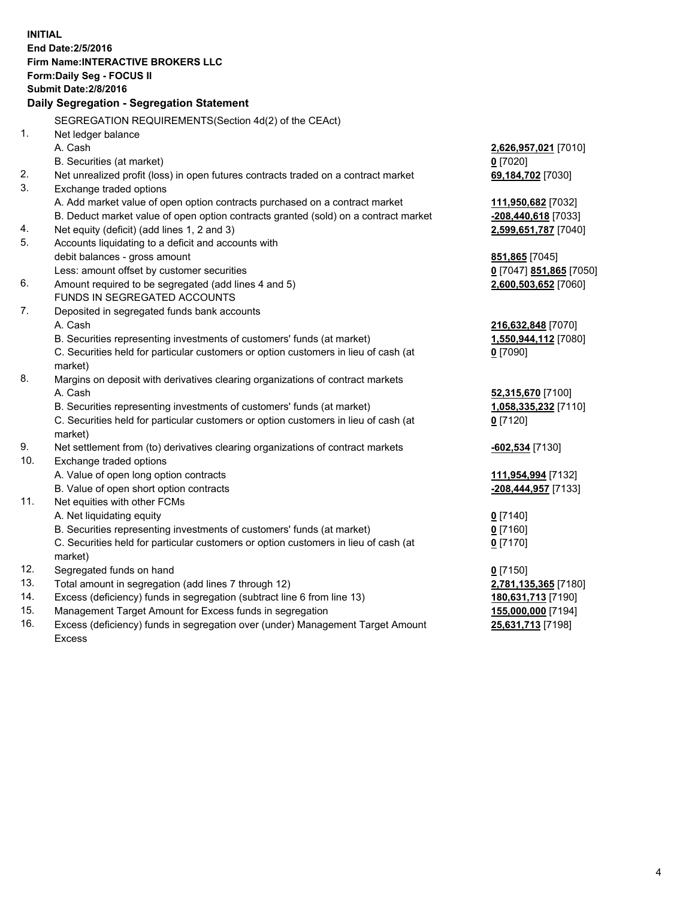**INITIAL End Date:2/5/2016 Firm Name:INTERACTIVE BROKERS LLC Form:Daily Seg - FOCUS II Submit Date:2/8/2016 Daily Segregation - Segregation Statement** SEGREGATION REQUIREMENTS(Section 4d(2) of the CEAct) 1. Net ledger balance A. Cash **2,626,957,021** [7010] B. Securities (at market) **0** [7020] 2. Net unrealized profit (loss) in open futures contracts traded on a contract market **69,184,702** [7030] 3. Exchange traded options A. Add market value of open option contracts purchased on a contract market **111,950,682** [7032] B. Deduct market value of open option contracts granted (sold) on a contract market **-208,440,618** [7033] 4. Net equity (deficit) (add lines 1, 2 and 3) **2,599,651,787** [7040] 5. Accounts liquidating to a deficit and accounts with debit balances - gross amount **851,865** [7045] Less: amount offset by customer securities **0** [7047] **851,865** [7050] 6. Amount required to be segregated (add lines 4 and 5) **2,600,503,652** [7060] FUNDS IN SEGREGATED ACCOUNTS 7. Deposited in segregated funds bank accounts A. Cash **216,632,848** [7070] B. Securities representing investments of customers' funds (at market) **1,550,944,112** [7080] C. Securities held for particular customers or option customers in lieu of cash (at market) **0** [7090] 8. Margins on deposit with derivatives clearing organizations of contract markets A. Cash **52,315,670** [7100] B. Securities representing investments of customers' funds (at market) **1,058,335,232** [7110] C. Securities held for particular customers or option customers in lieu of cash (at market) **0** [7120] 9. Net settlement from (to) derivatives clearing organizations of contract markets **-602,534** [7130] 10. Exchange traded options A. Value of open long option contracts **111,954,994** [7132] B. Value of open short option contracts **-208,444,957** [7133] 11. Net equities with other FCMs A. Net liquidating equity **0** [7140] B. Securities representing investments of customers' funds (at market) **0** [7160] C. Securities held for particular customers or option customers in lieu of cash (at market) **0** [7170] 12. Segregated funds on hand **0** [7150] 13. Total amount in segregation (add lines 7 through 12) **2,781,135,365** [7180] 14. Excess (deficiency) funds in segregation (subtract line 6 from line 13) **180,631,713** [7190] 15. Management Target Amount for Excess funds in segregation **155,000,000** [7194] **25,631,713** [7198]

16. Excess (deficiency) funds in segregation over (under) Management Target Amount Excess